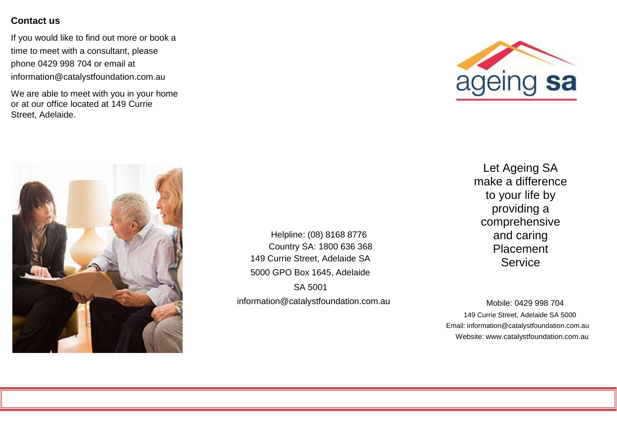### **Contact us**

If you would like to find out more or book a time to meet with a consultant, please phone 0429 998 704 or email at [information@catalystfoundation.com.au](mailto:information@catalystfoundation.com.au)

We are able to meet with you in your home or at our office located at 149 Currie Street, Adelaide.





Helpline: (08) 8168 8776 Country SA: 1800 636 368 149 Currie Street, Adelaide SA 5000 GPO Box 1645, Adelaide SA 5001 information@catalystfoundation.com.au

Let Ageing SA make a difference to your life by providing a comprehensive and caring Placement **Service** 

Mobile: 0429 998 704 149 Currie Street, Adelaide SA 5000 Email: [information@catalystfoundation.com.au](mailto:information@catalystfoundation.com.au) Website: [www.catalystfoundation.com.au](http://www.catalystfoundation.com.au/)